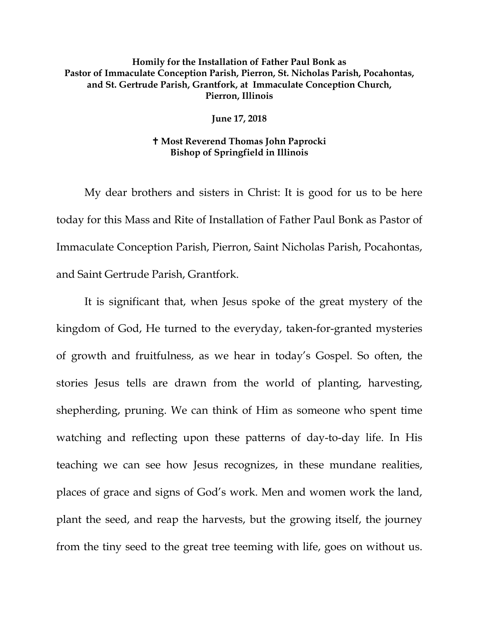## **Homily for the Installation of Father Paul Bonk as Pastor of Immaculate Conception Parish, Pierron, St. Nicholas Parish, Pocahontas, and St. Gertrude Parish, Grantfork, at Immaculate Conception Church, Pierron, Illinois**

**June 17, 2018**

## **Most Reverend Thomas John Paprocki Bishop of Springfield in Illinois**

My dear brothers and sisters in Christ: It is good for us to be here today for this Mass and Rite of Installation of Father Paul Bonk as Pastor of Immaculate Conception Parish, Pierron, Saint Nicholas Parish, Pocahontas, and Saint Gertrude Parish, Grantfork.

It is significant that, when Jesus spoke of the great mystery of the kingdom of God, He turned to the everyday, taken-for-granted mysteries of growth and fruitfulness, as we hear in today's Gospel. So often, the stories Jesus tells are drawn from the world of planting, harvesting, shepherding, pruning. We can think of Him as someone who spent time watching and reflecting upon these patterns of day-to-day life. In His teaching we can see how Jesus recognizes, in these mundane realities, places of grace and signs of God's work. Men and women work the land, plant the seed, and reap the harvests, but the growing itself, the journey from the tiny seed to the great tree teeming with life, goes on without us.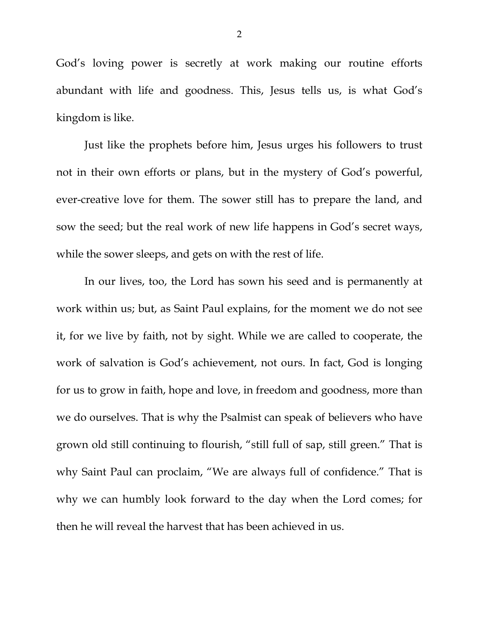God's loving power is secretly at work making our routine efforts abundant with life and goodness. This, Jesus tells us, is what God's kingdom is like.

Just like the prophets before him, Jesus urges his followers to trust not in their own efforts or plans, but in the mystery of God's powerful, ever-creative love for them. The sower still has to prepare the land, and sow the seed; but the real work of new life happens in God's secret ways, while the sower sleeps, and gets on with the rest of life.

In our lives, too, the Lord has sown his seed and is permanently at work within us; but, as Saint Paul explains, for the moment we do not see it, for we live by faith, not by sight. While we are called to cooperate, the work of salvation is God's achievement, not ours. In fact, God is longing for us to grow in faith, hope and love, in freedom and goodness, more than we do ourselves. That is why the Psalmist can speak of believers who have grown old still continuing to flourish, "still full of sap, still green." That is why Saint Paul can proclaim, "We are always full of confidence." That is why we can humbly look forward to the day when the Lord comes; for then he will reveal the harvest that has been achieved in us.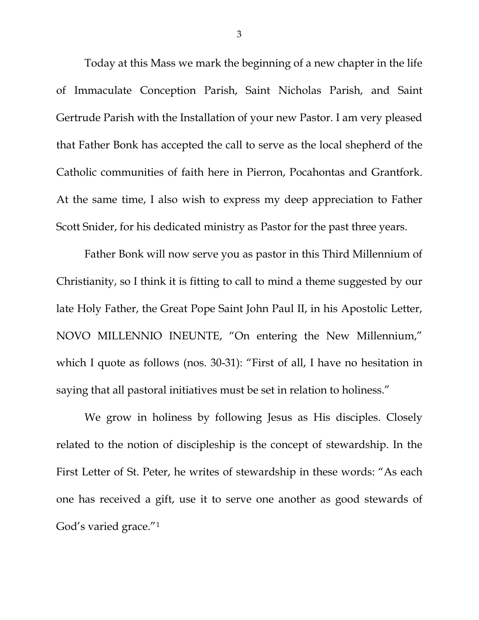Today at this Mass we mark the beginning of a new chapter in the life of Immaculate Conception Parish, Saint Nicholas Parish, and Saint Gertrude Parish with the Installation of your new Pastor. I am very pleased that Father Bonk has accepted the call to serve as the local shepherd of the Catholic communities of faith here in Pierron, Pocahontas and Grantfork. At the same time, I also wish to express my deep appreciation to Father Scott Snider, for his dedicated ministry as Pastor for the past three years.

Father Bonk will now serve you as pastor in this Third Millennium of Christianity, so I think it is fitting to call to mind a theme suggested by our late Holy Father, the Great Pope Saint John Paul II, in his Apostolic Letter, NOVO MILLENNIO INEUNTE, "On entering the New Millennium," which I quote as follows (nos. 30-31): "First of all, I have no hesitation in saying that all pastoral initiatives must be set in relation to holiness."

We grow in holiness by following Jesus as His disciples. Closely related to the notion of discipleship is the concept of stewardship. In the First Letter of St. Peter, he writes of stewardship in these words: "As each one has received a gift, use it to serve one another as good stewards of God's varied grace."[1](#page-7-0)

3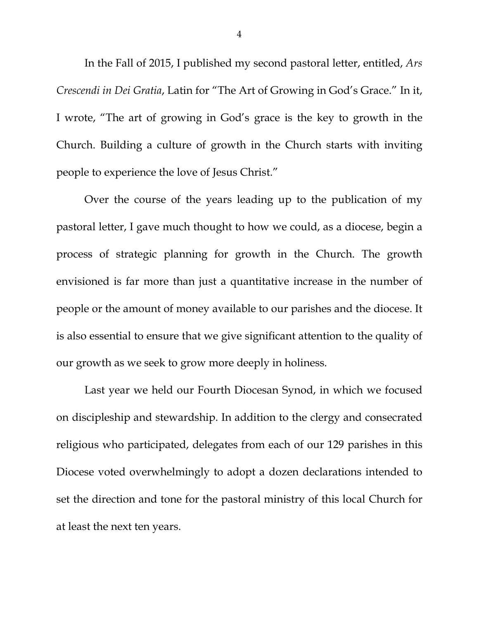In the Fall of 2015, I published my second pastoral letter, entitled, *Ars Crescendi in Dei Gratia*, Latin for "The Art of Growing in God's Grace." In it, I wrote, "The art of growing in God's grace is the key to growth in the Church. Building a culture of growth in the Church starts with inviting people to experience the love of Jesus Christ."

Over the course of the years leading up to the publication of my pastoral letter, I gave much thought to how we could, as a diocese, begin a process of strategic planning for growth in the Church. The growth envisioned is far more than just a quantitative increase in the number of people or the amount of money available to our parishes and the diocese. It is also essential to ensure that we give significant attention to the quality of our growth as we seek to grow more deeply in holiness.

Last year we held our Fourth Diocesan Synod, in which we focused on discipleship and stewardship. In addition to the clergy and consecrated religious who participated, delegates from each of our 129 parishes in this Diocese voted overwhelmingly to adopt a dozen declarations intended to set the direction and tone for the pastoral ministry of this local Church for at least the next ten years.

4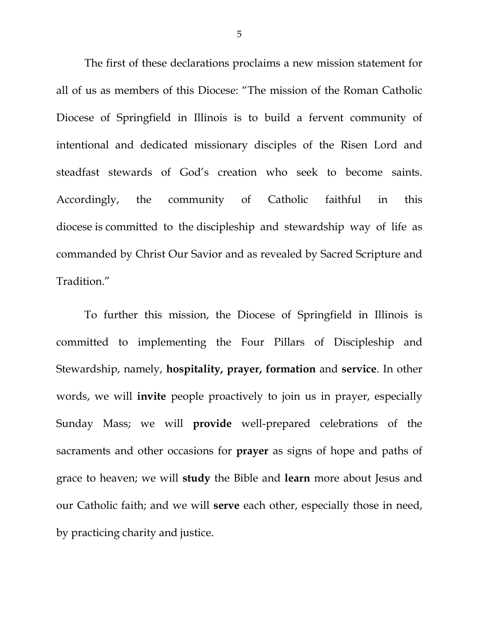The first of these declarations proclaims a new mission statement for all of us as members of this Diocese: "The mission of the Roman Catholic Diocese of Springfield in Illinois is to build a fervent community of intentional and dedicated missionary disciples of the Risen Lord and steadfast stewards of God's creation who seek to become saints. Accordingly, the community of Catholic faithful in this diocese is committed to the discipleship and stewardship way of life as commanded by Christ Our Savior and as revealed by Sacred Scripture and Tradition."

To further this mission, the Diocese of Springfield in Illinois is committed to implementing the Four Pillars of Discipleship and Stewardship, namely, **hospitality, prayer, formation** and **service**. In other words, we will **invite** people proactively to join us in prayer, especially Sunday Mass; we will **provide** well-prepared celebrations of the sacraments and other occasions for **prayer** as signs of hope and paths of grace to heaven; we will **study** the Bible and **learn** more about Jesus and our Catholic faith; and we will **serve** each other, especially those in need, by practicing charity and justice.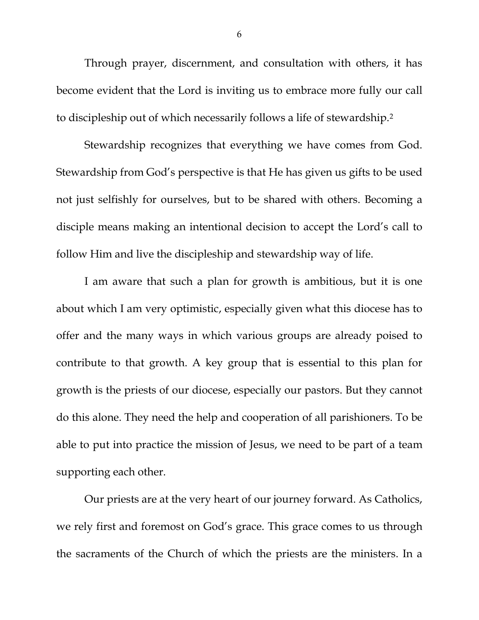Through prayer, discernment, and consultation with others, it has become evident that the Lord is inviting us to embrace more fully our call to discipleship out of which necessarily follows a life of stewardship.[2](#page-7-1)

Stewardship recognizes that everything we have comes from God. Stewardship from God's perspective is that He has given us gifts to be used not just selfishly for ourselves, but to be shared with others. Becoming a disciple means making an intentional decision to accept the Lord's call to follow Him and live the discipleship and stewardship way of life.

I am aware that such a plan for growth is ambitious, but it is one about which I am very optimistic, especially given what this diocese has to offer and the many ways in which various groups are already poised to contribute to that growth. A key group that is essential to this plan for growth is the priests of our diocese, especially our pastors. But they cannot do this alone. They need the help and cooperation of all parishioners. To be able to put into practice the mission of Jesus, we need to be part of a team supporting each other.

Our priests are at the very heart of our journey forward. As Catholics, we rely first and foremost on God's grace. This grace comes to us through the sacraments of the Church of which the priests are the ministers. In a

6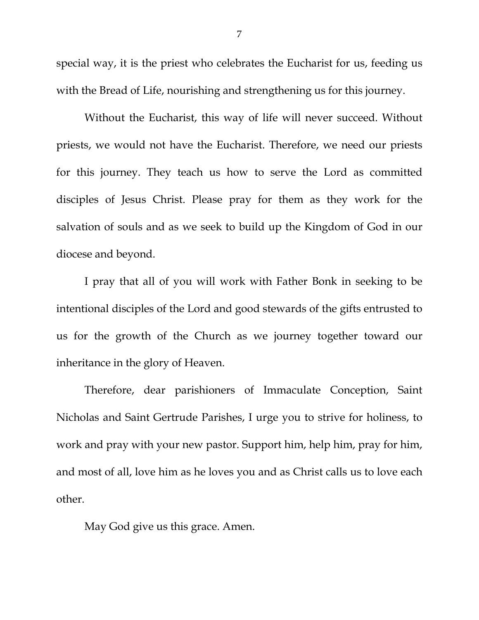special way, it is the priest who celebrates the Eucharist for us, feeding us with the Bread of Life, nourishing and strengthening us for this journey.

Without the Eucharist, this way of life will never succeed. Without priests, we would not have the Eucharist. Therefore, we need our priests for this journey. They teach us how to serve the Lord as committed disciples of Jesus Christ. Please pray for them as they work for the salvation of souls and as we seek to build up the Kingdom of God in our diocese and beyond.

I pray that all of you will work with Father Bonk in seeking to be intentional disciples of the Lord and good stewards of the gifts entrusted to us for the growth of the Church as we journey together toward our inheritance in the glory of Heaven.

Therefore, dear parishioners of Immaculate Conception, Saint Nicholas and Saint Gertrude Parishes, I urge you to strive for holiness, to work and pray with your new pastor. Support him, help him, pray for him, and most of all, love him as he loves you and as Christ calls us to love each other.

May God give us this grace. Amen.